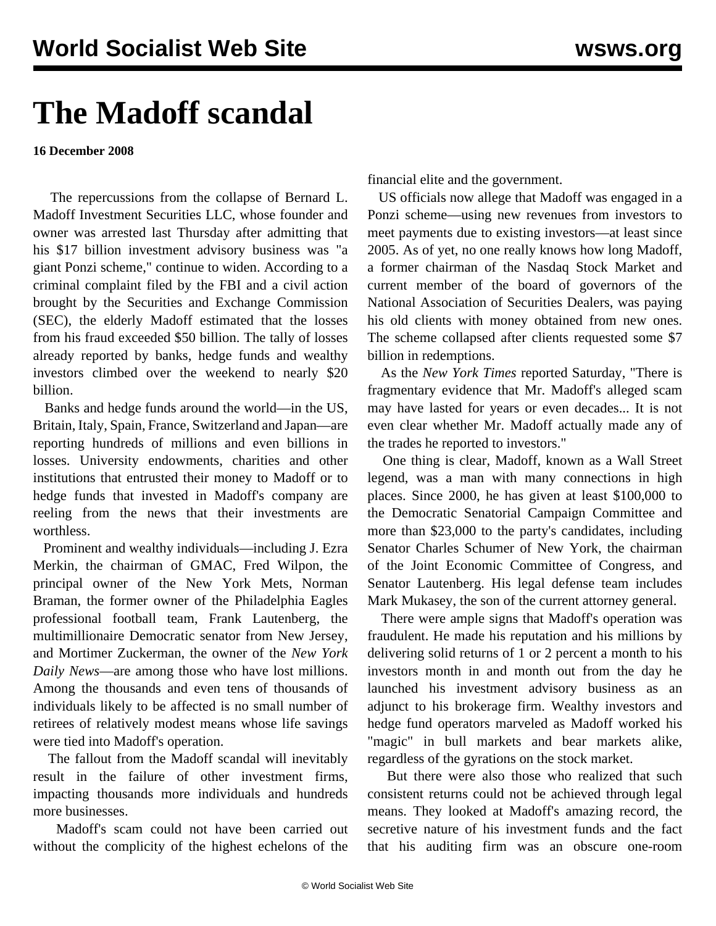## **The Madoff scandal**

**16 December 2008**

 The repercussions from the collapse of Bernard L. Madoff Investment Securities LLC, whose founder and owner was arrested last Thursday after admitting that his \$17 billion investment advisory business was "a giant Ponzi scheme," continue to widen. According to a criminal complaint filed by the FBI and a civil action brought by the Securities and Exchange Commission (SEC), the elderly Madoff estimated that the losses from his fraud exceeded \$50 billion. The tally of losses already reported by banks, hedge funds and wealthy investors climbed over the weekend to nearly \$20 billion.

 Banks and hedge funds around the world—in the US, Britain, Italy, Spain, France, Switzerland and Japan—are reporting hundreds of millions and even billions in losses. University endowments, charities and other institutions that entrusted their money to Madoff or to hedge funds that invested in Madoff's company are reeling from the news that their investments are worthless.

 Prominent and wealthy individuals—including J. Ezra Merkin, the chairman of GMAC, Fred Wilpon, the principal owner of the New York Mets, Norman Braman, the former owner of the Philadelphia Eagles professional football team, Frank Lautenberg, the multimillionaire Democratic senator from New Jersey, and Mortimer Zuckerman, the owner of the *New York Daily News*—are among those who have lost millions. Among the thousands and even tens of thousands of individuals likely to be affected is no small number of retirees of relatively modest means whose life savings were tied into Madoff's operation.

 The fallout from the Madoff scandal will inevitably result in the failure of other investment firms, impacting thousands more individuals and hundreds more businesses.

 Madoff's scam could not have been carried out without the complicity of the highest echelons of the

financial elite and the government.

 US officials now allege that Madoff was engaged in a Ponzi scheme—using new revenues from investors to meet payments due to existing investors—at least since 2005. As of yet, no one really knows how long Madoff, a former chairman of the Nasdaq Stock Market and current member of the board of governors of the National Association of Securities Dealers, was paying his old clients with money obtained from new ones. The scheme collapsed after clients requested some \$7 billion in redemptions.

 As the *New York Times* reported Saturday, "There is fragmentary evidence that Mr. Madoff's alleged scam may have lasted for years or even decades... It is not even clear whether Mr. Madoff actually made any of the trades he reported to investors."

 One thing is clear, Madoff, known as a Wall Street legend, was a man with many connections in high places. Since 2000, he has given at least \$100,000 to the Democratic Senatorial Campaign Committee and more than \$23,000 to the party's candidates, including Senator Charles Schumer of New York, the chairman of the Joint Economic Committee of Congress, and Senator Lautenberg. His legal defense team includes Mark Mukasey, the son of the current attorney general.

 There were ample signs that Madoff's operation was fraudulent. He made his reputation and his millions by delivering solid returns of 1 or 2 percent a month to his investors month in and month out from the day he launched his investment advisory business as an adjunct to his brokerage firm. Wealthy investors and hedge fund operators marveled as Madoff worked his "magic" in bull markets and bear markets alike, regardless of the gyrations on the stock market.

 But there were also those who realized that such consistent returns could not be achieved through legal means. They looked at Madoff's amazing record, the secretive nature of his investment funds and the fact that his auditing firm was an obscure one-room